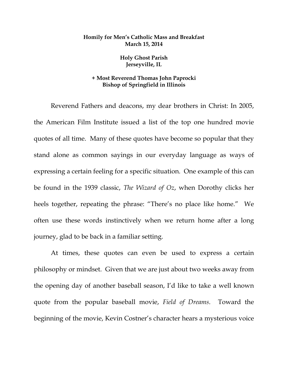## **Homily for Men's Catholic Mass and Breakfast March 15, 2014**

**Holy Ghost Parish Jerseyville, IL** 

## **+ Most Reverend Thomas John Paprocki Bishop of Springfield in Illinois**

Reverend Fathers and deacons, my dear brothers in Christ: In 2005, the American Film Institute issued a list of the top one hundred movie quotes of all time. Many of these quotes have become so popular that they stand alone as common sayings in our everyday language as ways of expressing a certain feeling for a specific situation. One example of this can be found in the 1939 classic, *The Wizard of Oz*, when Dorothy clicks her heels together, repeating the phrase: "There's no place like home." We often use these words instinctively when we return home after a long journey, glad to be back in a familiar setting.

At times, these quotes can even be used to express a certain philosophy or mindset. Given that we are just about two weeks away from the opening day of another baseball season, I'd like to take a well known quote from the popular baseball movie, *Field of Dreams*. Toward the beginning of the movie, Kevin Costner's character hears a mysterious voice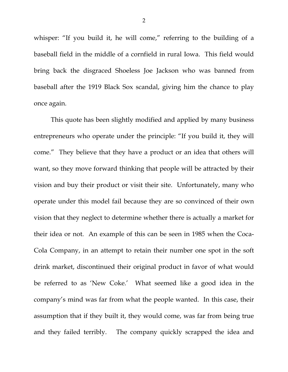whisper: "If you build it, he will come," referring to the building of a baseball field in the middle of a cornfield in rural Iowa. This field would bring back the disgraced Shoeless Joe Jackson who was banned from baseball after the 1919 Black Sox scandal, giving him the chance to play once again.

This quote has been slightly modified and applied by many business entrepreneurs who operate under the principle: "If you build it, they will come." They believe that they have a product or an idea that others will want, so they move forward thinking that people will be attracted by their vision and buy their product or visit their site. Unfortunately, many who operate under this model fail because they are so convinced of their own vision that they neglect to determine whether there is actually a market for their idea or not. An example of this can be seen in 1985 when the Coca-Cola Company, in an attempt to retain their number one spot in the soft drink market, discontinued their original product in favor of what would be referred to as 'New Coke.' What seemed like a good idea in the company's mind was far from what the people wanted. In this case, their assumption that if they built it, they would come, was far from being true and they failed terribly. The company quickly scrapped the idea and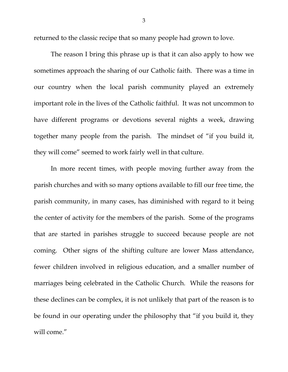returned to the classic recipe that so many people had grown to love.

The reason I bring this phrase up is that it can also apply to how we sometimes approach the sharing of our Catholic faith. There was a time in our country when the local parish community played an extremely important role in the lives of the Catholic faithful. It was not uncommon to have different programs or devotions several nights a week, drawing together many people from the parish. The mindset of "if you build it, they will come" seemed to work fairly well in that culture.

In more recent times, with people moving further away from the parish churches and with so many options available to fill our free time, the parish community, in many cases, has diminished with regard to it being the center of activity for the members of the parish. Some of the programs that are started in parishes struggle to succeed because people are not coming. Other signs of the shifting culture are lower Mass attendance, fewer children involved in religious education, and a smaller number of marriages being celebrated in the Catholic Church. While the reasons for these declines can be complex, it is not unlikely that part of the reason is to be found in our operating under the philosophy that "if you build it, they will come."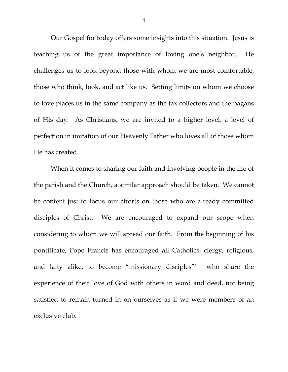Our Gospel for today offers some insights into this situation. Jesus is teaching us of the great importance of loving one's neighbor. He challenges us to look beyond those with whom we are most comfortable, those who think, look, and act like us. Setting limits on whom we choose to love places us in the same company as the tax collectors and the pagans of His day. As Christians, we are invited to a higher level, a level of perfection in imitation of our Heavenly Father who loves all of those whom He has created.

When it comes to sharing our faith and involving people in the life of the parish and the Church, a similar approach should be taken. We cannot be content just to focus our efforts on those who are already committed disciples of Christ. We are encouraged to expand our scope when considering to whom we will spread our faith. From the beginning of his pontificate, Pope Francis has encouraged all Catholics, clergy, religious, and laity alike, to become "missionary disciples"1 who share the experience of their love of God with others in word and deed, not being satisfied to remain turned in on ourselves as if we were members of an exclusive club.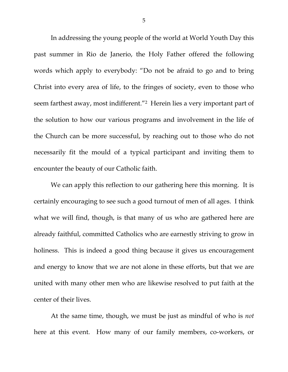In addressing the young people of the world at World Youth Day this past summer in Rio de Janerio, the Holy Father offered the following words which apply to everybody: "Do not be afraid to go and to bring Christ into every area of life, to the fringes of society, even to those who seem farthest away, most indifferent."2 Herein lies a very important part of the solution to how our various programs and involvement in the life of the Church can be more successful, by reaching out to those who do not necessarily fit the mould of a typical participant and inviting them to encounter the beauty of our Catholic faith.

We can apply this reflection to our gathering here this morning. It is certainly encouraging to see such a good turnout of men of all ages. I think what we will find, though, is that many of us who are gathered here are already faithful, committed Catholics who are earnestly striving to grow in holiness. This is indeed a good thing because it gives us encouragement and energy to know that we are not alone in these efforts, but that we are united with many other men who are likewise resolved to put faith at the center of their lives.

At the same time, though, we must be just as mindful of who is *not*  here at this event. How many of our family members, co-workers, or

5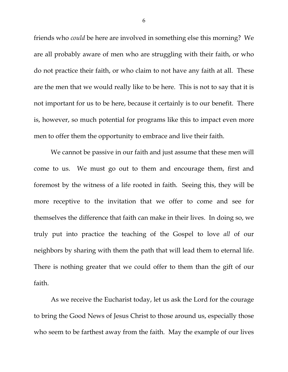friends who *could* be here are involved in something else this morning? We are all probably aware of men who are struggling with their faith, or who do not practice their faith, or who claim to not have any faith at all. These are the men that we would really like to be here. This is not to say that it is not important for us to be here, because it certainly is to our benefit. There is, however, so much potential for programs like this to impact even more men to offer them the opportunity to embrace and live their faith.

We cannot be passive in our faith and just assume that these men will come to us. We must go out to them and encourage them, first and foremost by the witness of a life rooted in faith. Seeing this, they will be more receptive to the invitation that we offer to come and see for themselves the difference that faith can make in their lives. In doing so, we truly put into practice the teaching of the Gospel to love *all* of our neighbors by sharing with them the path that will lead them to eternal life. There is nothing greater that we could offer to them than the gift of our faith.

As we receive the Eucharist today, let us ask the Lord for the courage to bring the Good News of Jesus Christ to those around us, especially those who seem to be farthest away from the faith. May the example of our lives